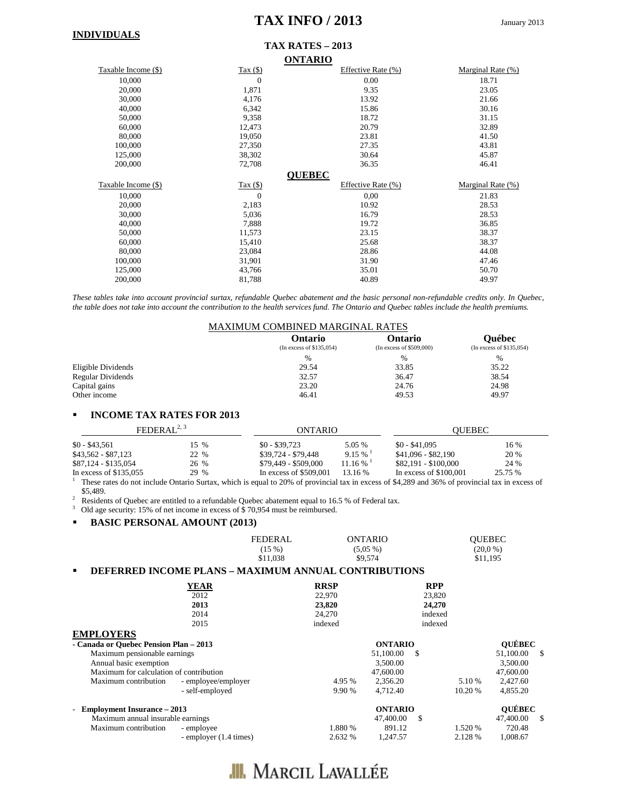### **TAX INFO / 2013** January 2013

#### **INDIVIDUALS**

### **TAX RATES – 2013**

|                     |                | <b>ONTARIO</b>     |                   |
|---------------------|----------------|--------------------|-------------------|
| Taxable Income (\$) | Tax $($ )      | Effective Rate (%) | Marginal Rate (%) |
| 10,000              | $\theta$       | 0.00               | 18.71             |
| 20,000              | 1,871          | 9.35               | 23.05             |
| 30,000              | 4,176          | 13.92              | 21.66             |
| 40,000              | 6,342          | 15.86              | 30.16             |
| 50,000              | 9,358          | 18.72              | 31.15             |
| 60,000              | 12,473         | 20.79              | 32.89             |
| 80,000              | 19,050         | 23.81              | 41.50             |
| 100,000             | 27,350         | 27.35              | 43.81             |
| 125,000             | 38,302         | 30.64              | 45.87             |
| 200,000             | 72,708         | 36.35              | 46.41             |
|                     |                | <b>QUEBEC</b>      |                   |
|                     |                |                    |                   |
| Taxable Income (\$) | Tax $($ )      | Effective Rate (%) | Marginal Rate (%) |
| 10,000              | $\overline{0}$ | 0,00               | 21.83             |
| 20,000              | 2,183          | 10.92              | 28.53             |
| 30,000              | 5,036          | 16.79              | 28.53             |
| 40,000              | 7,888          | 19.72              | 36.85             |
| 50,000              | 11,573         | 23.15              | 38.37             |
| 60,000              | 15,410         | 25.68              | 38.37             |
| 80,000              | 23,084         | 28.86              | 44.08             |
| 100,000             | 31,901         | 31.90              | 47.46             |
| 125,000             | 43,766         | 35.01              | 50.70             |

*These tables take into account provincial surtax, refundable Quebec abatement and the basic personal non-refundable credits only. In Quebec, the table does not take into account the contribution to the health services fund. The Ontario and Quebec tables include the health premiums.*

|                    | <b>MAXIMUM COMBINED MARGINAL RATES</b> |                                     |                                           |
|--------------------|----------------------------------------|-------------------------------------|-------------------------------------------|
|                    | Ontario<br>(In excess of \$135,054)    | Ontario<br>(In excess of \$509,000) | <b>Ouébec</b><br>(In excess of \$135,054) |
|                    | $\%$                                   | $\frac{0}{0}$                       | $\frac{0}{0}$                             |
| Eligible Dividends | 29.54                                  | 33.85                               | 35.22                                     |
| Regular Dividends  | 32.57                                  | 36.47                               | 38.54                                     |
| Capital gains      | 23.20                                  | 24.76                               | 24.98                                     |
| Other income       | 46.41                                  | 49.53                               | 49.97                                     |

#### **INCOME TAX RATES FOR 2013**

| FEDERAL <sup>2, 3</sup> |                  | ONTARIO                                                                                                                                                          |                        | <b>OUEBEC</b>           |         |
|-------------------------|------------------|------------------------------------------------------------------------------------------------------------------------------------------------------------------|------------------------|-------------------------|---------|
| $$0 - $43.561$          | $15 \frac{9}{6}$ | $$0 - $39.723$                                                                                                                                                   | 5.05 %                 | $$0 - $41.095$          | 16 %    |
| $$43.562 - $87.123$     | 22 %             | \$39.724 - \$79.448                                                                                                                                              | $9.15\%$               | $$41.096 - $82.190$     | 20 %    |
| \$87,124 - \$135,054    | 26 %             | \$79.449 - \$509.000                                                                                                                                             | $11.16\%$ <sup>1</sup> | \$82.191 - \$100.000    | 24 %    |
| In excess of $$135.055$ | 29 %             | In excess of $$509,001$                                                                                                                                          | 13.16 %                | In excess of $$100.001$ | 25.75 % |
|                         |                  | $\Gamma$ There are the fields $\Omega$ are the figures with the second region of accounts to the theory of $\theta$ 4,000 and 070/ of accounts to the compact of |                        |                         |         |

1 These rates do not include Ontario Surtax, which is equal to 20% of provincial tax in excess of \$4,289 and 36% of provincial tax in excess of

<sup>3</sup> Residents of Quebec are entitled to a refundable Quebec abatement equal to 16.5 % of Federal tax.

<sup>3</sup> Old age security: 15% of net income in excess of \$70,954 must be reimbursed.

#### **BASIC PERSONAL AMOUNT (2013)**

| <b>FEDERAL</b> | ONTARIO    | <b>OUEBEC</b> |  |
|----------------|------------|---------------|--|
| $(15\%)$       | $(5.05\%)$ | $(20.0\%)$    |  |
| \$11.038       | \$9,574    | \$11.195      |  |

### **DEFERRED INCOME PLANS – MAXIMUM ANNUAL CONTRIBUTIONS**

|                                         | <b>YEAR</b>            | <b>RRSP</b> | <b>RPP</b>       |         |               |          |
|-----------------------------------------|------------------------|-------------|------------------|---------|---------------|----------|
|                                         | 2012                   | 22,970      | 23,820           |         |               |          |
|                                         | 2013                   | 23,820      | 24,270           |         |               |          |
|                                         | 2014                   | 24,270      | indexed          |         |               |          |
|                                         | 2015                   | indexed     | indexed          |         |               |          |
| <b>EMPLOYERS</b>                        |                        |             |                  |         |               |          |
| - Canada or Ouebec Pension Plan - 2013  |                        |             | <b>ONTARIO</b>   |         | <b>OUÉBEC</b> |          |
| Maximum pensionable earnings            |                        |             | 51,100.00<br>\$. |         | 51,100.00     | <b>S</b> |
| Annual basic exemption                  |                        |             | 3,500.00         |         | 3,500.00      |          |
| Maximum for calculation of contribution |                        |             | 47,600.00        |         | 47,600.00     |          |
| Maximum contribution                    | - employee/employer    | 4.95 %      | 2.356.20         | 5.10 %  | 2,427.60      |          |
|                                         | - self-employed        | 9.90 %      | 4.712.40         | 10.20 % | 4,855.20      |          |
| <b>Employment Insurance – 2013</b>      |                        |             | <b>ONTARIO</b>   |         | <b>QUÉBEC</b> |          |
| Maximum annual insurable earnings       |                        |             | 47,400.00<br>\$  |         | 47,400.00     | -\$      |
| Maximum contribution                    | - employee             | 1.880 %     | 891.12           | 1.520 % | 720.48        |          |
|                                         | - employer (1.4 times) | 2.632 %     | 1.247.57         | 2.128 % | 1,008.67      |          |

## **III.** MARCIL LAVALLÉE